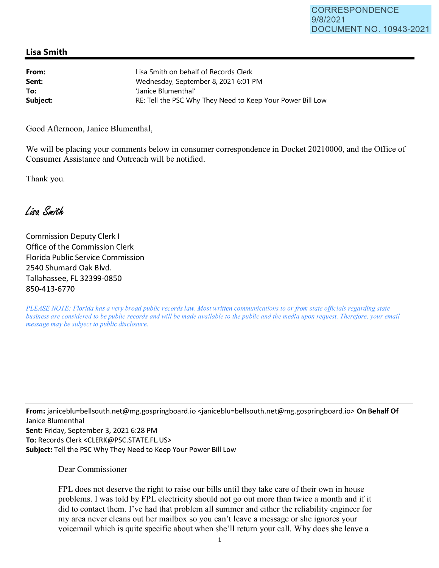## **Lisa Smith**

| From:    | Lisa Smith on behalf of Records Clerk                      |
|----------|------------------------------------------------------------|
| Sent:    | Wednesday, September 8, 2021 6:01 PM                       |
| To:      | 'Janice Blumenthal'                                        |
| Subject: | RE: Tell the PSC Why They Need to Keep Your Power Bill Low |

Good Afternoon, Janice Blumenthal,

We will be placing your comments below in consumer correspondence in Docket 20210000, and the Office of Consumer Assistance and Outreach will be notified.

Thank you.

Lisa Smith

Commission Deputy Clerk I Office of the Commission Clerk Florida Public Service Commission 2540 Shumard Oak Blvd. Tallahassee, FL 32399-0850 850-413-6770

*PLEASE NOTE: Florida has a very broad public records law. Most written communications to or from state officials regarding state business are considered to be public records and will be made available to the public and the media upon request. Therefore, your email message may be subject to public disclosure.* 

**From:** janiceblu=bellsouth.net@mg.gospringboard.io <janiceblu=bellsouth.net@mg.gospringboard.io> **On Behalf Of**  Janice Blumenthal **Sent:** Friday, September 3, 2021 6:28 PM **To:** Records Clerk <CLERK@PSC.STATE.FL.US> **Subject:** Tell the PSC Why They Need to Keep Your Power Bill Low

Dear Commissioner

FPL does not deserve the right to raise our bills until they take care of their own in house problems. I was told by FPL electricity should not go out more than twice a month and if it did to contact them. I've had that problem all summer and either the reliability engineer for my area never cleans out her mailbox so you can't leave a message or she ignores your voicemail which is quite specific about when she'll return your call. Why does she leave a